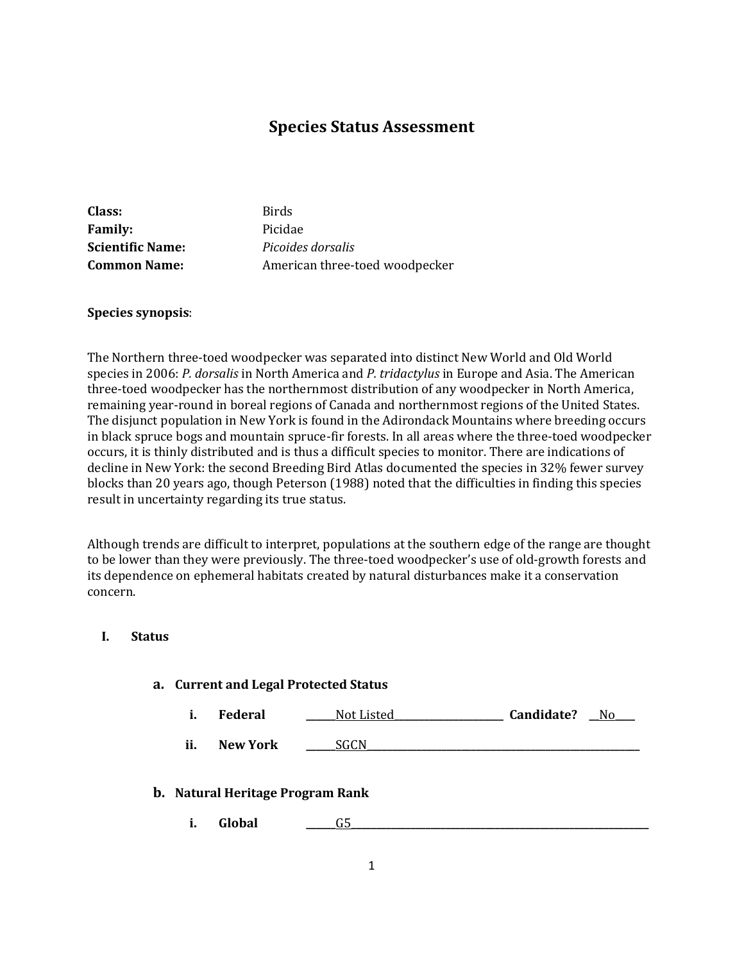# **Species Status Assessment**

**Class:** Birds Family: Picidae **Scientific Name:** *Picoides dorsalis* **Common Name:** American three-toed woodpecker

#### **Species synopsis**:

The Northern three-toed woodpecker was separated into distinct New World and Old World species in 2006: *P. dorsalis* in North America and *P. tridactylus* in Europe and Asia. The American three-toed woodpecker has the northernmost distribution of any woodpecker in North America, remaining year-round in boreal regions of Canada and northernmost regions of the United States. The disjunct population in New York is found in the Adirondack Mountains where breeding occurs in black spruce bogs and mountain spruce-fir forests. In all areas where the three-toed woodpecker occurs, it is thinly distributed and is thus a difficult species to monitor. There are indications of decline in New York: the second Breeding Bird Atlas documented the species in 32% fewer survey blocks than 20 years ago, though Peterson (1988) noted that the difficulties in finding this species result in uncertainty regarding its true status.

Although trends are difficult to interpret, populations at the southern edge of the range are thought to be lower than they were previously. The three-toed woodpecker's use of old-growth forests and its dependence on ephemeral habitats created by natural disturbances make it a conservation concern.

### **I. Status**

#### **a. Current and Legal Protected Status**

**i. Federal Not Listed Candidate?** No

**ii. New York \_\_\_\_\_\_**SGCN**\_\_\_\_\_\_\_\_\_\_\_\_\_\_\_\_\_\_\_\_\_\_\_\_\_\_\_\_\_\_\_\_\_\_\_\_\_\_\_\_\_\_\_\_\_\_\_\_\_\_\_\_\_\_\_**

#### **b. Natural Heritage Program Rank**

**i. Global \_\_\_\_\_\_**G5**\_\_\_\_\_\_\_\_\_\_\_\_\_\_\_\_\_\_\_\_\_\_\_\_\_\_\_\_\_\_\_\_\_\_\_\_\_\_\_\_\_\_\_\_\_\_\_\_\_\_\_\_\_\_\_\_\_\_\_\_**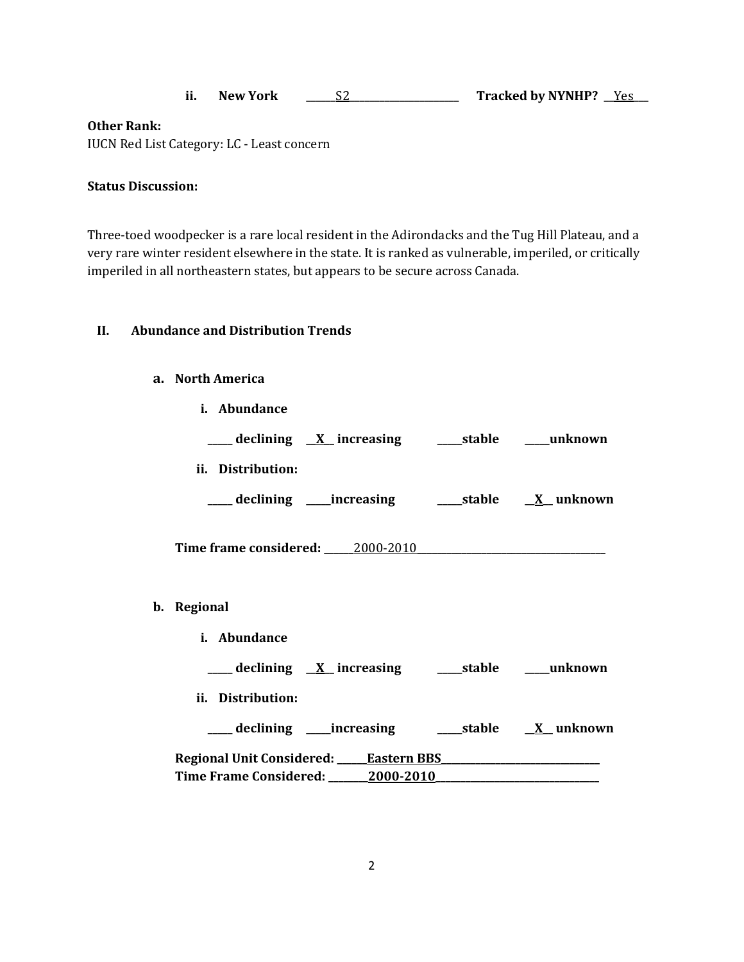|  | New York |  | <b>Tracked by NYNHP?</b> |  |
|--|----------|--|--------------------------|--|
|--|----------|--|--------------------------|--|

### **Other Rank:**

IUCN Red List Category: LC - Least concern

### **Status Discussion:**

Three-toed woodpecker is a rare local resident in the Adirondacks and the Tug Hill Plateau, and a very rare winter resident elsewhere in the state. It is ranked as vulnerable, imperiled, or critically imperiled in all northeastern states, but appears to be secure across Canada.

#### **II. Abundance and Distribution Trends**

### **a. North America**

**b**.

**i. Abundance**

| ___ declining X_ increasing ______stable _____unknown      |  |
|------------------------------------------------------------|--|
| ii. Distribution:                                          |  |
|                                                            |  |
|                                                            |  |
| Regional                                                   |  |
| i. Abundance                                               |  |
| ___ declining <u>X</u> increasing ____ stable ____ unknown |  |
| ii. Distribution:                                          |  |
|                                                            |  |
|                                                            |  |
| Time Frame Considered: 2000-2010                           |  |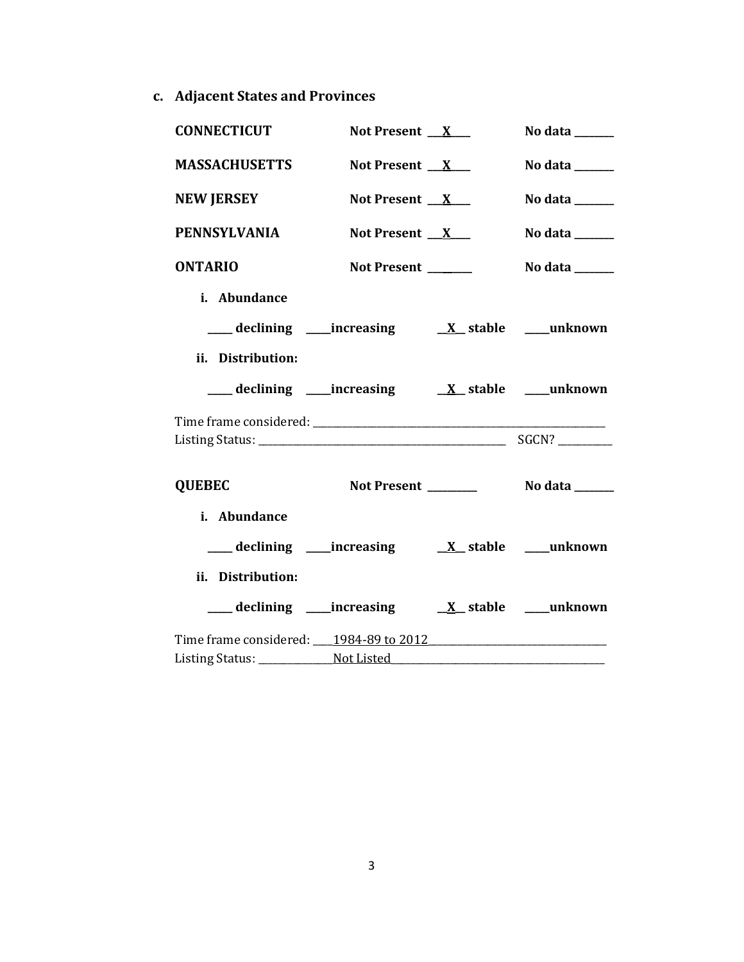**c. Adjacent States and Provinces**

| <b>CONNECTICUT</b>                                                    | Not Present $X_{-}$ | No data ______ |
|-----------------------------------------------------------------------|---------------------|----------------|
| <b>MASSACHUSETTS</b>                                                  | Not Present $X_{-}$ | No data ______ |
| <b>NEW JERSEY</b>                                                     | Not Present $X$     | No data ______ |
| <b>PENNSYLVANIA</b>                                                   | Not Present $X_{-}$ | No data ______ |
| <b>ONTARIO</b>                                                        | Not Present ______  | No data ______ |
| i. Abundance                                                          |                     |                |
|                                                                       |                     |                |
| ii. Distribution:                                                     |                     |                |
| ___ declining ____ increasing ____ __ ___ ___ ___ ___ ___ ___ unknown |                     |                |
|                                                                       |                     |                |
|                                                                       |                     |                |
| <b>QUEBEC</b>                                                         |                     |                |
| i. Abundance                                                          |                     |                |
| ____ declining _____ increasing _________ x___ stable _____ unknown   |                     |                |
| ii. Distribution:                                                     |                     |                |
|                                                                       |                     |                |
|                                                                       |                     |                |
|                                                                       |                     |                |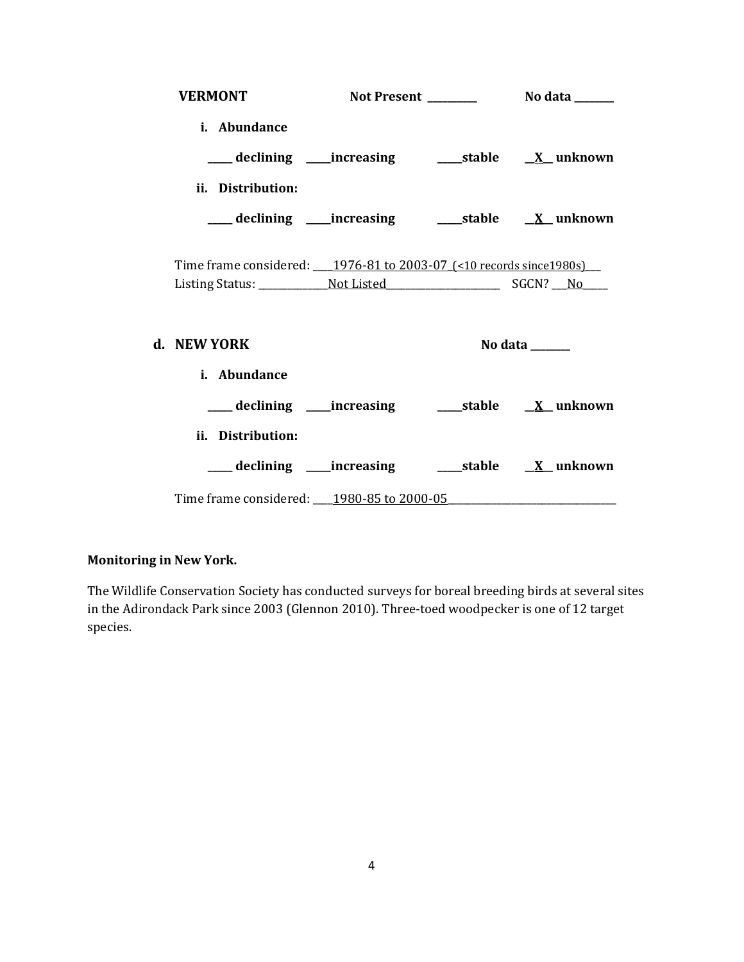| <b>VERMONT</b>                                                               |  |                |
|------------------------------------------------------------------------------|--|----------------|
| i. Abundance                                                                 |  |                |
|                                                                              |  |                |
| ii. Distribution:                                                            |  |                |
| ___declining ___increasing _____stable __ <u>X</u> _unknown                  |  |                |
| Time frame considered: ____ 1976-81 to 2003-07_(<10 records since 1980s) ___ |  |                |
| d. NEW YORK                                                                  |  | No data ______ |
| i. Abundance                                                                 |  |                |
| ___ declining ____increasing ______stable ___ X__unknown                     |  |                |
| ii. Distribution:                                                            |  |                |
|                                                                              |  |                |
| Time frame considered: 1980-85 to 2000-05                                    |  |                |

# **Monitoring in New York.**

The Wildlife Conservation Society has conducted surveys for boreal breeding birds at several sites in the Adirondack Park since 2003 (Glennon 2010). Three-toed woodpecker is one of 12 target species.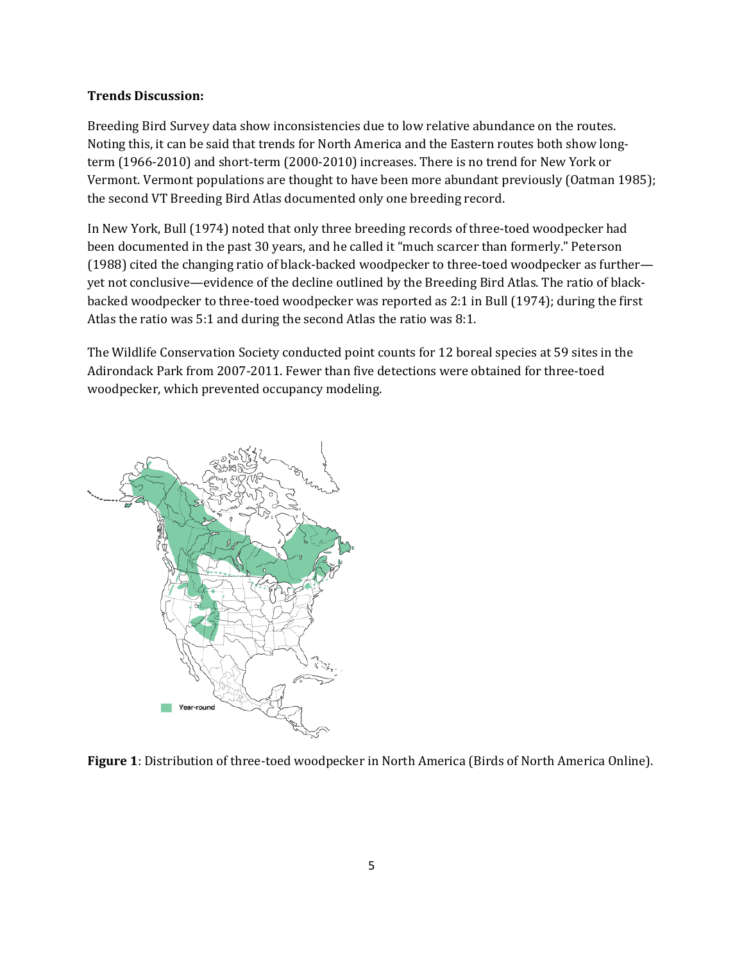### **Trends Discussion:**

Breeding Bird Survey data show inconsistencies due to low relative abundance on the routes. Noting this, it can be said that trends for North America and the Eastern routes both show longterm (1966-2010) and short-term (2000-2010) increases. There is no trend for New York or Vermont. Vermont populations are thought to have been more abundant previously (Oatman 1985); the second VT Breeding Bird Atlas documented only one breeding record.

In New York, Bull (1974) noted that only three breeding records of three-toed woodpecker had been documented in the past 30 years, and he called it "much scarcer than formerly." Peterson (1988) cited the changing ratio of black-backed woodpecker to three-toed woodpecker as further yet not conclusive—evidence of the decline outlined by the Breeding Bird Atlas. The ratio of blackbacked woodpecker to three-toed woodpecker was reported as 2:1 in Bull (1974); during the first Atlas the ratio was 5:1 and during the second Atlas the ratio was 8:1.

The Wildlife Conservation Society conducted point counts for 12 boreal species at 59 sites in the Adirondack Park from 2007-2011. Fewer than five detections were obtained for three-toed woodpecker, which prevented occupancy modeling.



**Figure 1**: Distribution of three-toed woodpecker in North America (Birds of North America Online).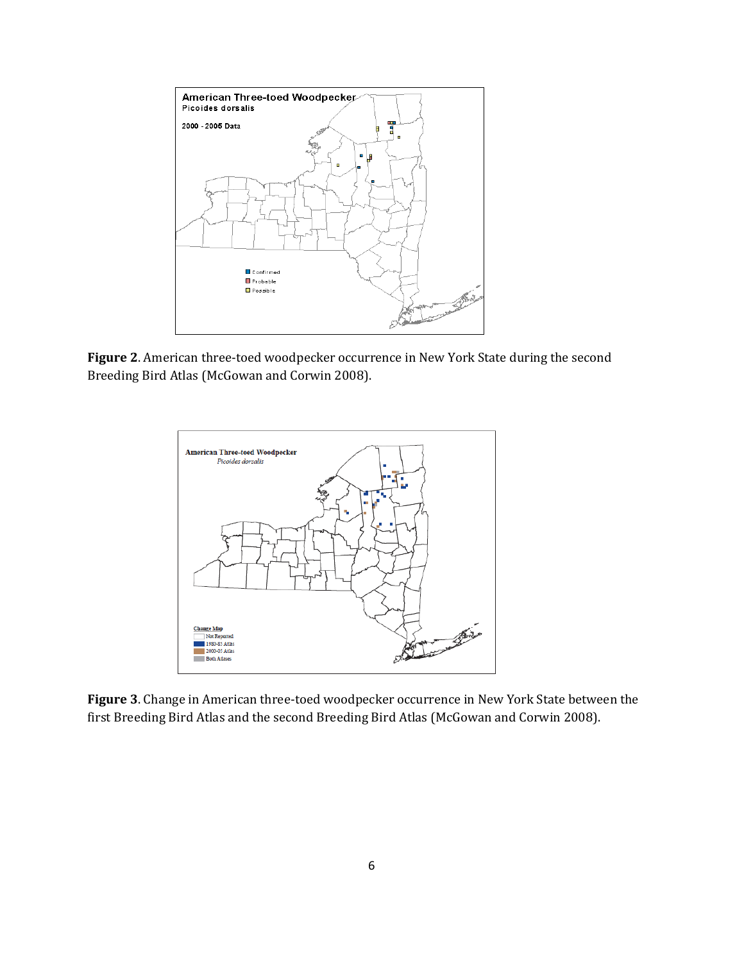

**Figure 2**. American three-toed woodpecker occurrence in New York State during the second Breeding Bird Atlas (McGowan and Corwin 2008).



**Figure 3**. Change in American three-toed woodpecker occurrence in New York State between the first Breeding Bird Atlas and the second Breeding Bird Atlas (McGowan and Corwin 2008).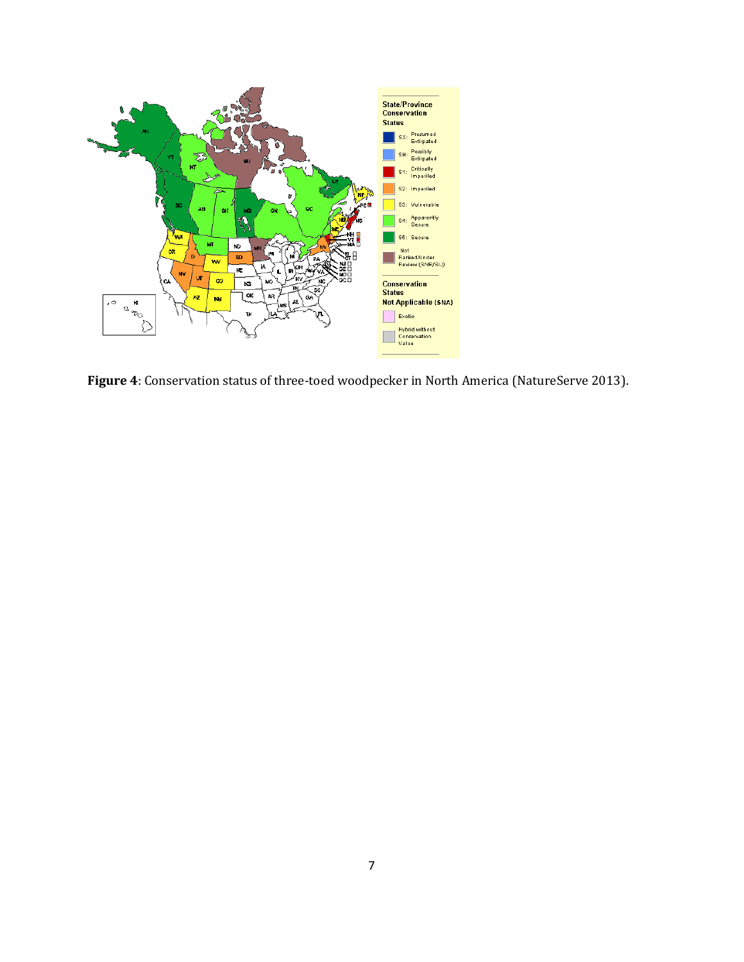

**Figure 4**: Conservation status of three-toed woodpecker in North America (NatureServe 2013).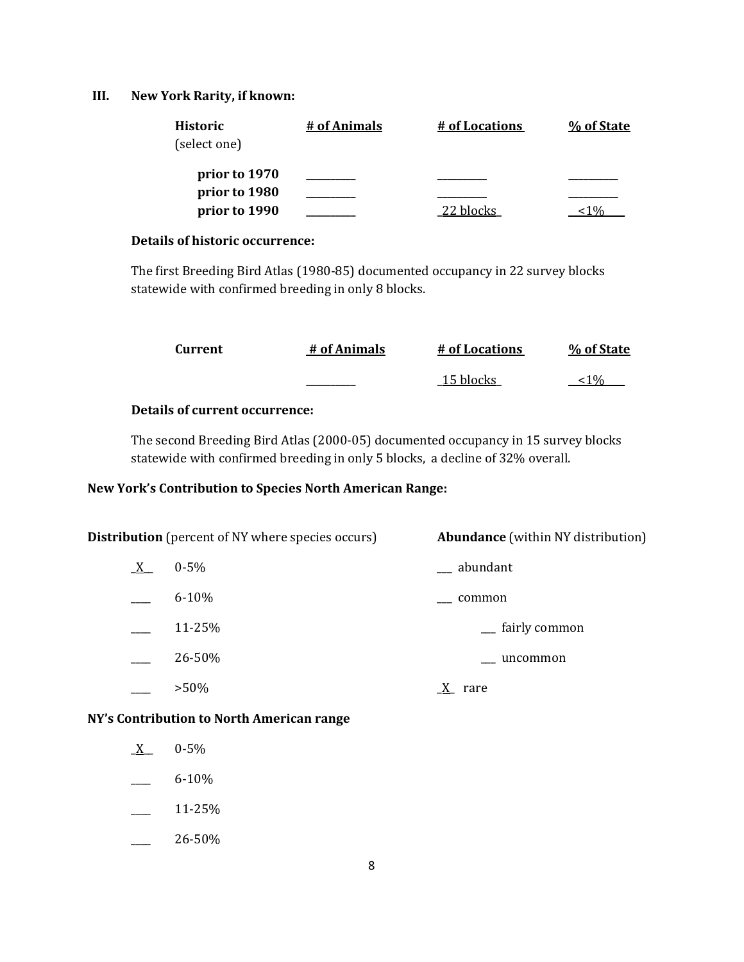### **III. New York Rarity, if known:**

| % of State |
|------------|
|            |
|            |
|            |

# **Details of historic occurrence:**

The first Breeding Bird Atlas (1980-85) documented occupancy in 22 survey blocks statewide with confirmed breeding in only 8 blocks.

| Current | # of Animals | # of Locations | % of State |
|---------|--------------|----------------|------------|
|         |              | 15 blocks      | 0/2        |

### **Details of current occurrence:**

The second Breeding Bird Atlas (2000-05) documented occupancy in 15 survey blocks statewide with confirmed breeding in only 5 blocks, a decline of 32% overall.

# **New York's Contribution to Species North American Range:**

| <b>Distribution</b> (percent of NY where species occurs) |           | <b>Abundance</b> (within NY distribution) |  |
|----------------------------------------------------------|-----------|-------------------------------------------|--|
| $X_{-}$                                                  | $0 - 5\%$ | __ abundant                               |  |
|                                                          | $6 - 10%$ | common                                    |  |
|                                                          | 11-25%    | <sub>-</sub> fairly common                |  |
|                                                          | 26-50%    | uncommon                                  |  |
|                                                          | $>50\%$   | rare                                      |  |

# **NY's Contribution to North American range**

- $X$  0-5%
- $-$  6-10%
- $\frac{11-25}{6}$
- $-26-50%$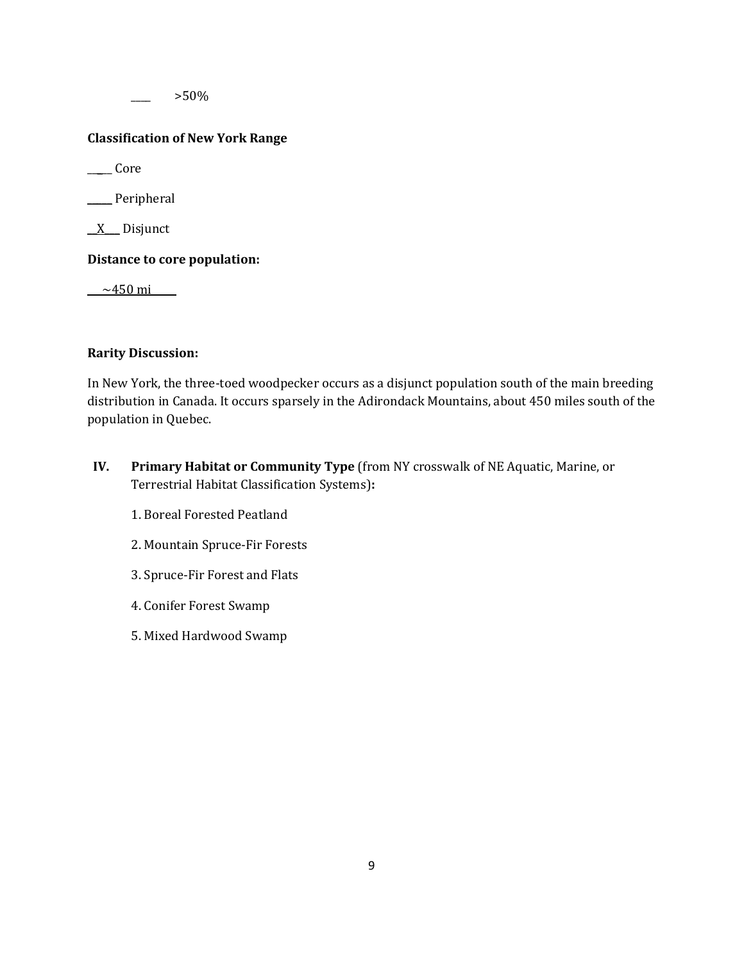\_\_\_\_ >50%

## **Classification of New York Range**

\_\_\_\_\_ Core

\_\_\_\_\_ Peripheral

 $X$  Disjunct

**Distance to core population:**

 $-450 \text{ mi}$ 

### **Rarity Discussion:**

In New York, the three-toed woodpecker occurs as a disjunct population south of the main breeding distribution in Canada. It occurs sparsely in the Adirondack Mountains, about 450 miles south of the population in Quebec.

- **IV. Primary Habitat or Community Type** (from NY crosswalk of NE Aquatic, Marine, or Terrestrial Habitat Classification Systems)**:** 
	- 1. Boreal Forested Peatland
	- 2. Mountain Spruce-Fir Forests
	- 3. Spruce-Fir Forest and Flats
	- 4. Conifer Forest Swamp
	- 5. Mixed Hardwood Swamp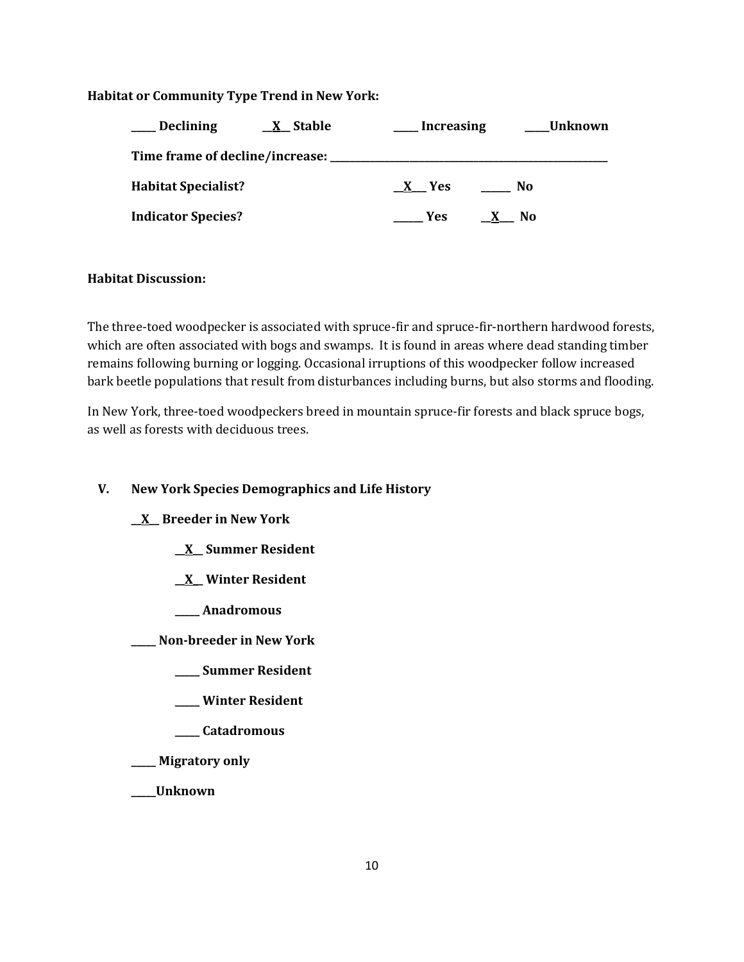### **Habitat or Community Type Trend in New York:**

| <b>Declining</b>           | <u>X</u> Stable | <b>Increasing</b> | Unknown |  |
|----------------------------|-----------------|-------------------|---------|--|
|                            |                 |                   |         |  |
| <b>Habitat Specialist?</b> |                 | X Yes             | No      |  |
| <b>Indicator Species?</b>  |                 | Yes.              | No.     |  |

### **Habitat Discussion:**

The three-toed woodpecker is associated with spruce-fir and spruce-fir-northern hardwood forests, which are often associated with bogs and swamps. It is found in areas where dead standing timber remains following burning or logging. Occasional irruptions of this woodpecker follow increased bark beetle populations that result from disturbances including burns, but also storms and flooding.

In New York, three-toed woodpeckers breed in mountain spruce-fir forests and black spruce bogs, as well as forests with deciduous trees.

### **V. New York Species Demographics and Life History**

### **\_\_X\_\_ Breeder in New York**

- **\_\_X\_\_ Summer Resident**
- **\_\_X\_\_ Winter Resident**
- **\_\_\_\_\_ Anadromous**

**\_\_\_\_\_ Non-breeder in New York**

- **\_\_\_\_\_ Summer Resident**
- **\_\_\_\_\_ Winter Resident**
- **\_\_\_\_\_ Catadromous**
- **\_\_\_\_\_ Migratory only**

**\_\_\_\_\_Unknown**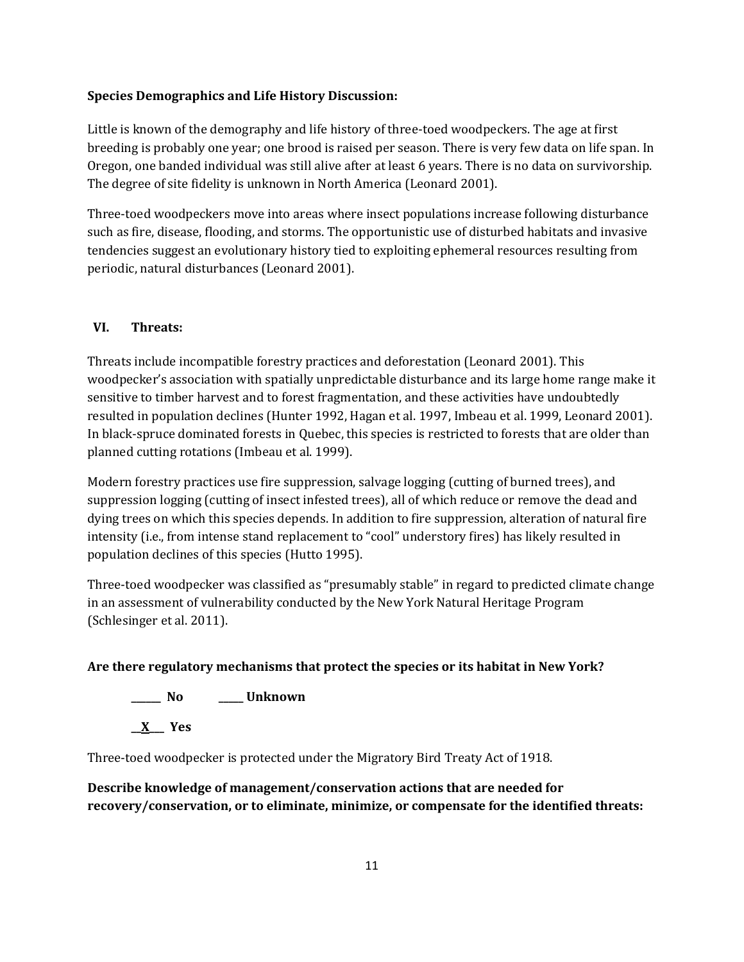### **Species Demographics and Life History Discussion:**

Little is known of the demography and life history of three-toed woodpeckers. The age at first breeding is probably one year; one brood is raised per season. There is very few data on life span. In Oregon, one banded individual was still alive after at least 6 years. There is no data on survivorship. The degree of site fidelity is unknown in North America (Leonard 2001).

Three-toed woodpeckers move into areas where insect populations increase following disturbance such as fire, disease, flooding, and storms. The opportunistic use of disturbed habitats and invasive tendencies suggest an evolutionary history tied to exploiting ephemeral resources resulting from periodic, natural disturbances (Leonard 2001).

# **VI. Threats:**

Threats include incompatible forestry practices and deforestation (Leonard 2001). This woodpecker's association with spatially unpredictable disturbance and its large home range make it sensitive to timber harvest and to forest fragmentation, and these activities have undoubtedly resulted in population declines (Hunter 1992, Hagan et al. 1997, Imbeau et al. 1999, Leonard 2001). In black-spruce dominated forests in Quebec, this species is restricted to forests that are older than planned cutting rotations (Imbeau et al. 1999).

Modern forestry practices use fire suppression, salvage logging (cutting of burned trees), and suppression logging (cutting of insect infested trees), all of which reduce or remove the dead and dying trees on which this species depends. In addition to fire suppression, alteration of natural fire intensity (i.e., from intense stand replacement to "cool" understory fires) has likely resulted in population declines of this species (Hutto 1995).

Three-toed woodpecker was classified as "presumably stable" in regard to predicted climate change in an assessment of vulnerability conducted by the New York Natural Heritage Program (Schlesinger et al. 2011).

### **Are there regulatory mechanisms that protect the species or its habitat in New York?**

**\_\_\_\_\_\_ No \_\_\_\_\_ Unknown**

**\_\_X\_\_\_ Yes**

Three-toed woodpecker is protected under the Migratory Bird Treaty Act of 1918.

# **Describe knowledge of management/conservation actions that are needed for recovery/conservation, or to eliminate, minimize, or compensate for the identified threats:**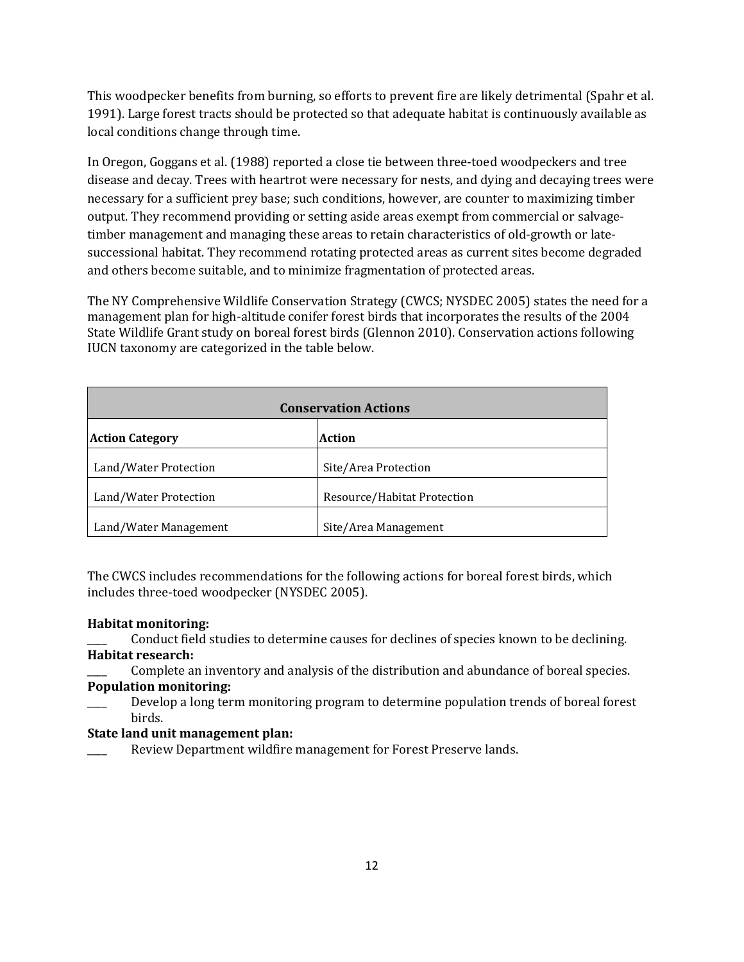This woodpecker benefits from burning, so efforts to prevent fire are likely detrimental (Spahr et al. 1991). Large forest tracts should be protected so that adequate habitat is continuously available as local conditions change through time.

In Oregon, Goggans et al. [\(1988\)](http://bna.birds.cornell.edu/bna/species/588/articles/species/588/biblio/bib039) reported a close tie between three-toed woodpeckers and tree disease and decay. Trees with heartrot were necessary for nests, and dying and decaying trees were necessary for a sufficient prey base; such conditions, however, are counter to maximizing timber output. They recommend providing or setting aside areas exempt from commercial or salvagetimber management and managing these areas to retain characteristics of old-growth or latesuccessional habitat. They recommend rotating protected areas as current sites become degraded and others become suitable, and to minimize fragmentation of protected areas.

The NY Comprehensive Wildlife Conservation Strategy (CWCS; NYSDEC 2005) states the need for a management plan for high-altitude conifer forest birds that incorporates the results of the 2004 State Wildlife Grant study on boreal forest birds (Glennon 2010). Conservation actions following IUCN taxonomy are categorized in the table below.

| <b>Conservation Actions</b>      |                             |  |
|----------------------------------|-----------------------------|--|
| Action<br><b>Action Category</b> |                             |  |
| Land/Water Protection            | Site/Area Protection        |  |
| Land/Water Protection            | Resource/Habitat Protection |  |
| Land/Water Management            | Site/Area Management        |  |

The CWCS includes recommendations for the following actions for boreal forest birds, which includes three-toed woodpecker (NYSDEC 2005).

#### **Habitat monitoring:**

Conduct field studies to determine causes for declines of species known to be declining. **Habitat research:**

Complete an inventory and analysis of the distribution and abundance of boreal species. **Population monitoring:**

Develop a long term monitoring program to determine population trends of boreal forest birds.

#### **State land unit management plan:**

Review Department wildfire management for Forest Preserve lands.